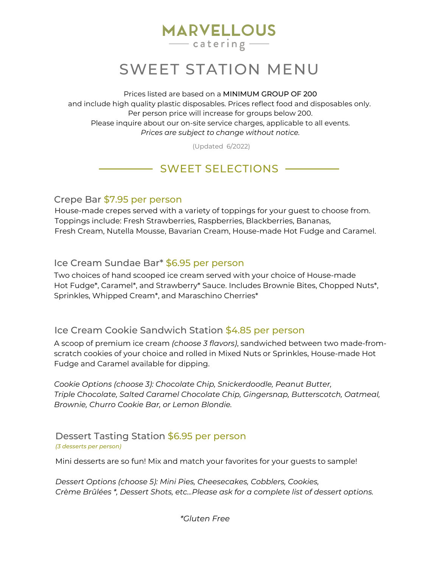# **MARVELLOUS**  $\frac{1}{\sqrt{1-\frac{1}{2}}\cos\theta}$

# SWEET STATION MENU

Prices listed are based on a MINIMUM GROUP OF 200 and include high quality plastic disposables. Prices reflect food and disposables only. Per person price will increase for groups below 200. Please inquire about our on-site service charges, applicable to all events. *Prices are subject to change without notice.*

(Updated 6/2022)

# - SWEET SELECTIONS

Crepe Bar \$7.95 per person

House-made crepes served with a variety of toppings for your guest to choose from. Toppings include: Fresh Strawberries, Raspberries, Blackberries, Bananas, Fresh Cream, Nutella Mousse, Bavarian Cream, House-made Hot Fudge and Caramel.

#### Ice Cream Sundae Bar\* \$6.95 per person

Two choices of hand scooped ice cream served with your choice of House-made Hot Fudge\*, Caramel\*, and Strawberry\* Sauce. Includes Brownie Bites, Chopped Nuts\*, Sprinkles, Whipped Cream\*, and Maraschino Cherries\*

#### Ice Cream Cookie Sandwich Station \$4.85 per person

A scoop of premium ice cream *(choose 3 flavors)*, sandwiched between two made-fromscratch cookies of your choice and rolled in Mixed Nuts or Sprinkles, House-made Hot Fudge and Caramel available for dipping.

*Cookie Options (choose 3): Chocolate Chip, Snickerdoodle, Peanut Butter, Triple Chocolate, Salted Caramel Chocolate Chip, Gingersnap, Butterscotch, Oatmeal, Brownie, Churro Cookie Bar, or Lemon Blondie.*

#### Dessert Tasting Station \$6.95 per person *(3 desserts per person)*

Mini desserts are so fun! Mix and match your favorites for your guests to sample!

*Dessert Options (choose 5): Mini Pies, Cheesecakes, Cobblers, Cookies, Crème Brûlées \*, Dessert Shots, etc...Please ask for a complete list of dessert options.*

*\*Gluten Free*